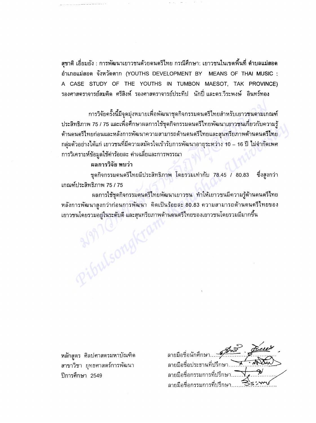์สุชาติ เอี่ยมยัง : การพัฒนาเยาวชนด้วยดนตรีไทย กรณีศึกษา: เยาวชนในเขตพื้นที่ ดำบลแม่สอด อำเภอแม่สอด จังหวัดตาก (YOUTHS DEVELOPMENT BY MEANS OF THAI MUSIC : A CASE STUDY OF THE YOUTHS IN TUMBON MAESOT, TAK PROVINCE) รองศาสตราจารย์สมคิด ศรีสิงห์ รองศาสตราจารย์ประทีป นักปี่ และดร.วีระพงษ์ อินทร์ทอง

การวิจัยครั้งนี้มีจุดมุ่งหมายเพื่อพัฒนาชุดกิจกรรมดนตรีไทยสำหรับเยาวชนดามเกณฑ์ ประสิทธิภาพ 75 / 75 และเพื่อศึกษาผลการใช้ชุดกิจกรรมดนตรีไทยพัฒนาเยาวชนเกี่ยวกับความรู้ ด้านดนตรีไทยก่อนและหลังการพัฒนาความสามารถด้านดนตรีไทยและสุนทรียภาพด้านดนตรีไทย ึกลุ่มตัวอย่างได้แก่ เยาวชนที่มีความสมัครใจเข้ารับการพัฒนาอายุระหว่าง 10 – 16 ปี ไม่จำกัดเพศ การวิเคราะห์ข้อมูลใช้ค่าร้อยละ ค่าเฉลี่ยและการพรรณา

## ผลการวิจัย พบว่า

ชุดกิจกรรมดนตรีไทยมีประสิทธิภาพ โดยรวมเท่ากับ 78.45 / 80.83 ซึ่งสูงกว่า เกณฑ์ประสิทธิภาพ 75 / 75

ผลการใช้ชุดกิจกรรมดนตรีไทยพัฒนาเยาวชน ทำให้เยาวชนมีความรู้ด้านดนตรีไทย หลังการพัฒนาสูงกว่าก่อนการพัฒนา คิดเป็นร้อยละ 80.83 ความสามารถด้านดนตรีไทยของ เยาวชนโดยรวมอยู่ในระดับดี และสุนทรียภาพด้านดนตรีไทยของเยาวชนโดยรวมมีมากขึ้น Ribulsong

หลักสูตร ศิลปศาสตรมหาบัณฑิต สาขาวิชา ยุทธศาสตร์การพัฒนา ปีการศึกษา 2549

ลายมือชื่อนักศึกษา...." ลายมือชื่อประธานที่ปรึกษา ลายมือชื่อกรรมการที่ปรึกษ ลายมือชื่อกรรมการที่ปรึกษา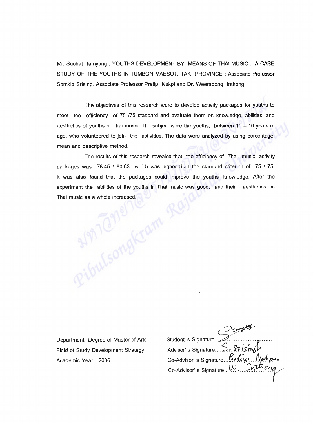Mr. Suchat lamyung: YOUTHS DEVELOPMENT BY MEANS OF THAI MUSIC: A CASE STUDY OF THE YOUTHS IN TUMBON MAESOT, TAK PROVINCE: Associate Professor Somkid Srising. Associate Professor Pratip Nukpi and Or. Weerapong Inthong

The objectives of this research were to develop activity packages for youths to meet the efficiency of 75 /75 standard and evaluate them on knowledge, abilities, and aesthetics of youths in Thai music. The subject were the youths, between  $10 - 16$  years of age, who volunteered to join the activities. The data were analyzed by using percentage, mean and descriptive method.

The results of this research revealed that the efficiency of Thai music activity packages was 78.45 / 80.83 which was higher than the standard criterion of 75 / 75.<br>It was also found that the packages could improve the youths' knowledge. After the<br>experiment the abilities of the youths in Thai music wa It was also found that the packages could improve the youths' knowledge. After the experiment the abilities of the youths in Thai music was good, and their aesthetics in Thai music as a whole increased.

Department Degree of Master of Arts Field of Study Development Strategy Academic Year 2006

Student's Signature.. Advisor' s Signature .... S. ... S**Y** ... Co-Advisor's Signature ... Protup Nature  $Co$ -Advisor's Signature  $.W.$  Inth